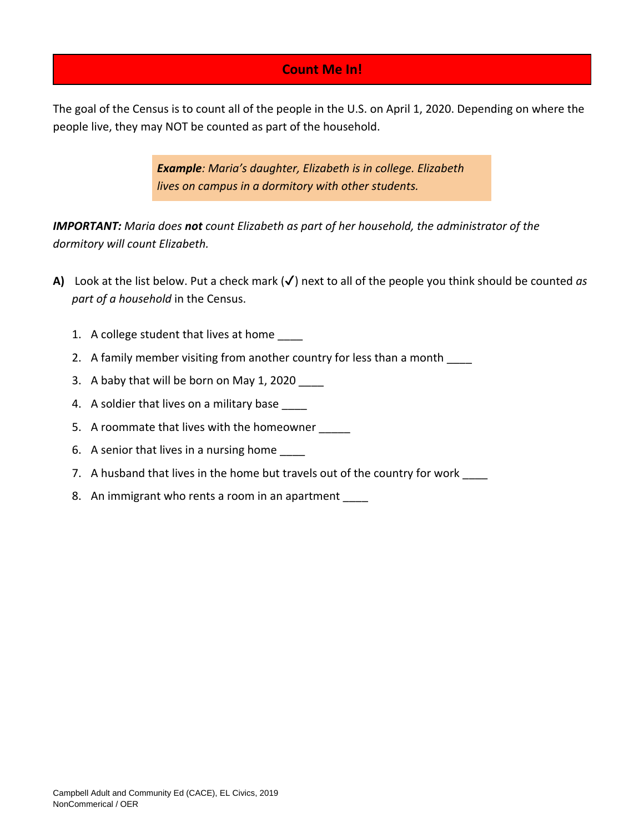## **Count Me In!**

The goal of the Census is to count all of the people in the U.S. on April 1, 2020. Depending on where the people live, they may NOT be counted as part of the household.

> *Example: Maria's daughter, Elizabeth is in college. Elizabeth lives on campus in a dormitory with other students.*

*IMPORTANT: Maria does not count Elizabeth as part of her household, the administrator of the dormitory will count Elizabeth.*

- **A)** Look at the list below. Put a check mark (✔) next to all of the people you think should be counted *as part of a household* in the Census.
	- 1. A college student that lives at home
	- 2. A family member visiting from another country for less than a month
	- 3. A baby that will be born on May 1, 2020
	- 4. A soldier that lives on a military base
	- 5. A roommate that lives with the homeowner
	- 6. A senior that lives in a nursing home \_\_\_\_
	- 7. A husband that lives in the home but travels out of the country for work
	- 8. An immigrant who rents a room in an apartment \_\_\_\_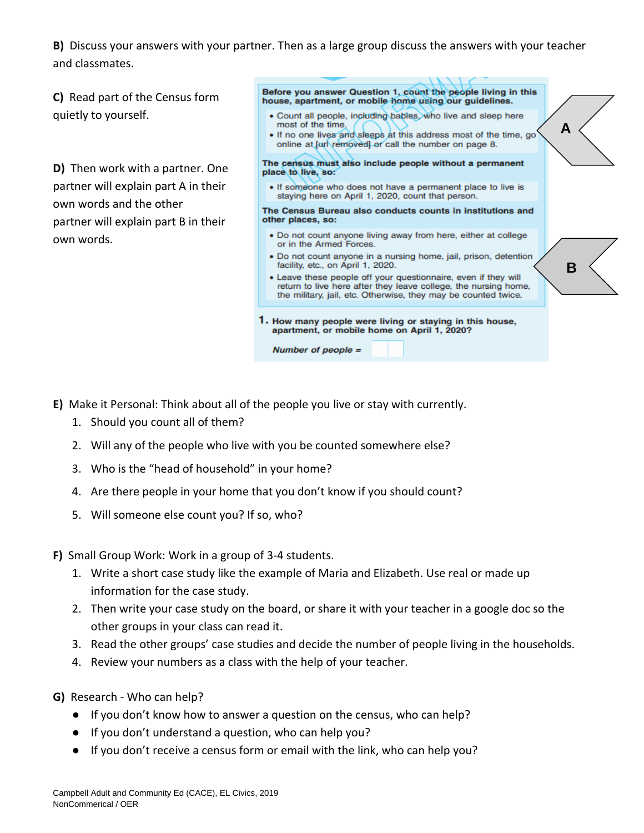**B)** Discuss your answers with your partner. Then as a large group discuss the answers with your teacher and classmates.

**C)** Read part of the Census form quietly to yourself.

**D)** Then work with a partner. One partner will explain part A in their own words and the other partner will explain part B in their own words.

Before you answer Question 1, count the people living in this house, apartment, or mobile home using our guidelines.

- · Count all people, including babies, who live and sleep here most of the time.
- . If no one lives and sleeps at this address most of the time, go online at [url\removed] or call the number on page 8.

**A**

**B**

The census must also include people without a permanent place to live, so:

. If someone who does not have a permanent place to live is staying here on April 1, 2020, count that person.

The Census Bureau also conducts counts in institutions and other places, so:

- . Do not count anyone living away from here, either at college or in the Armed Forces.
- · Do not count anyone in a nursing home, jail, prison, detention facility, etc., on April 1, 2020.
- Leave these people off your questionnaire, even if they will return to live here after they leave college, the nursing home, the military, jail, etc. Otherwise, they may be counted twice.
- 1. How many people were living or staying in this house, apartment, or mobile home on April 1, 2020?

Number of people  $=$ 

- **E)** Make it Personal: Think about all of the people you live or stay with currently.
	- 1. Should you count all of them?
	- 2. Will any of the people who live with you be counted somewhere else?
	- 3. Who is the "head of household" in your home?
	- 4. Are there people in your home that you don't know if you should count?
	- 5. Will someone else count you? If so, who?
- **F)** Small Group Work: Work in a group of 3-4 students.
	- 1. Write a short case study like the example of Maria and Elizabeth. Use real or made up information for the case study.
	- 2. Then write your case study on the board, or share it with your teacher in a google doc so the other groups in your class can read it.
	- 3. Read the other groups' case studies and decide the number of people living in the households.
	- 4. Review your numbers as a class with the help of your teacher.
- **G)** Research Who can help?
	- If you don't know how to answer a question on the census, who can help?
	- If you don't understand a question, who can help you?
	- If you don't receive a census form or email with the link, who can help you?